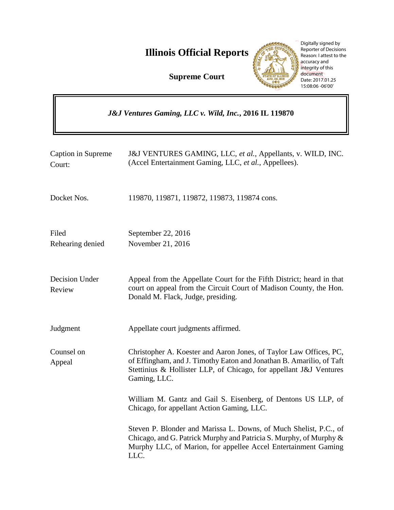**Illinois Official Reports** 

**Supreme Court**



Digitally signed by Reporter of Decisions Reason: I attest to the accuracy and integrity of this document Date: 2017.01.25 15:08:06 -06'00'

| J&J Ventures Gaming, LLC v. Wild, Inc., 2016 IL 119870 |                                                                                                                                                                                                                                  |
|--------------------------------------------------------|----------------------------------------------------------------------------------------------------------------------------------------------------------------------------------------------------------------------------------|
| Caption in Supreme<br>Court:                           | J&J VENTURES GAMING, LLC, et al., Appellants, v. WILD, INC.<br>(Accel Entertainment Gaming, LLC, et al., Appellees).                                                                                                             |
| Docket Nos.                                            | 119870, 119871, 119872, 119873, 119874 cons.                                                                                                                                                                                     |
| Filed<br>Rehearing denied                              | September 22, 2016<br>November 21, 2016                                                                                                                                                                                          |
| Decision Under<br>Review                               | Appeal from the Appellate Court for the Fifth District; heard in that<br>court on appeal from the Circuit Court of Madison County, the Hon.<br>Donald M. Flack, Judge, presiding.                                                |
| Judgment                                               | Appellate court judgments affirmed.                                                                                                                                                                                              |
| Counsel on<br>Appeal                                   | Christopher A. Koester and Aaron Jones, of Taylor Law Offices, PC,<br>of Effingham, and J. Timothy Eaton and Jonathan B. Amarilio, of Taft<br>Stettinius & Hollister LLP, of Chicago, for appellant J&J Ventures<br>Gaming, LLC. |
|                                                        | William M. Gantz and Gail S. Eisenberg, of Dentons US LLP, of<br>Chicago, for appellant Action Gaming, LLC.                                                                                                                      |
|                                                        | Steven P. Blonder and Marissa L. Downs, of Much Shelist, P.C., of<br>Chicago, and G. Patrick Murphy and Patricia S. Murphy, of Murphy &<br>Murphy LLC, of Marion, for appellee Accel Entertainment Gaming<br>LLC.                |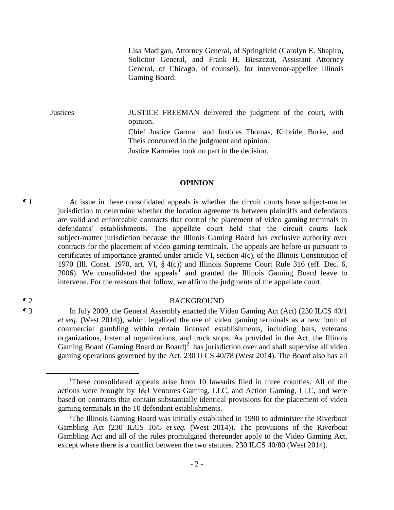Lisa Madigan, Attorney General, of Springfield (Carolyn E. Shapiro, Solicitor General, and Frank H. Bieszczat, Assistant Attorney General, of Chicago, of counsel), for intervenor-appellee Illinois Gaming Board.

Justices JUSTICE FREEMAN delivered the judgment of the court, with opinion. Chief Justice Garman and Justices Thomas, Kilbride, Burke, and Theis concurred in the judgment and opinion. Justice Karmeier took no part in the decision.

### **OPINION**

¶ 1 At issue in these consolidated appeals is whether the circuit courts have subject-matter jurisdiction to determine whether the location agreements between plaintiffs and defendants are valid and enforceable contracts that control the placement of video gaming terminals in defendants' establishments. The appellate court held that the circuit courts lack subject-matter jurisdiction because the Illinois Gaming Board has exclusive authority over contracts for the placement of video gaming terminals. The appeals are before us pursuant to certificates of importance granted under article VI, section 4(c), of the Illinois Constitution of 1970 (Ill. Const. 1970, art. VI, § 4(c)) and Illinois Supreme Court Rule 316 (eff. Dec. 6, 2006). We consolidated the appeals<sup>1</sup> and granted the Illinois Gaming Board leave to intervene. For the reasons that follow, we affirm the judgments of the appellate court.

### ¶ 2 BACKGROUND

¶ 3 In July 2009, the General Assembly enacted the Video Gaming Act (Act) (230 ILCS 40/1 *et seq.* (West 2014)), which legalized the use of video gaming terminals as a new form of commercial gambling within certain licensed establishments, including bars, veterans organizations, fraternal organizations, and truck stops. As provided in the Act, the Illinois Gaming Board (Gaming Board or Board)<sup>2</sup> has jurisdiction over and shall supervise all video gaming operations governed by the Act. 230 ILCS 40/78 (West 2014). The Board also has all

 $\overline{a}$ 

<sup>1</sup>These consolidated appeals arise from 10 lawsuits filed in three counties. All of the actions were brought by J&J Ventures Gaming, LLC, and Action Gaming, LLC, and were based on contracts that contain substantially identical provisions for the placement of video gaming terminals in the 10 defendant establishments.

 $2$ The Illinois Gaming Board was initially established in 1990 to administer the Riverboat Gambling Act (230 ILCS 10/5 *et seq.* (West 2014)). The provisions of the Riverboat Gambling Act and all of the rules promulgated thereunder apply to the Video Gaming Act, except where there is a conflict between the two statutes. 230 ILCS 40/80 (West 2014).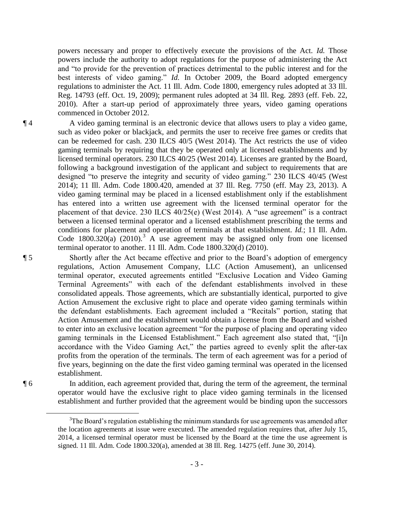powers necessary and proper to effectively execute the provisions of the Act. *Id.* Those powers include the authority to adopt regulations for the purpose of administering the Act and "to provide for the prevention of practices detrimental to the public interest and for the best interests of video gaming." *Id.* In October 2009, the Board adopted emergency regulations to administer the Act. 11 Ill. Adm. Code 1800, emergency rules adopted at 33 Ill. Reg. 14793 (eff. Oct. 19, 2009); permanent rules adopted at 34 Ill. Reg. 2893 (eff. Feb. 22, 2010). After a start-up period of approximately three years, video gaming operations commenced in October 2012.

¶ 4 A video gaming terminal is an electronic device that allows users to play a video game, such as video poker or blackjack, and permits the user to receive free games or credits that can be redeemed for cash. 230 ILCS 40/5 (West 2014). The Act restricts the use of video gaming terminals by requiring that they be operated only at licensed establishments and by licensed terminal operators. 230 ILCS 40/25 (West 2014). Licenses are granted by the Board, following a background investigation of the applicant and subject to requirements that are designed "to preserve the integrity and security of video gaming." 230 ILCS 40/45 (West 2014); 11 Ill. Adm. Code 1800.420, amended at 37 Ill. Reg. 7750 (eff. May 23, 2013). A video gaming terminal may be placed in a licensed establishment only if the establishment has entered into a written use agreement with the licensed terminal operator for the placement of that device. 230 ILCS 40/25(e) (West 2014). A "use agreement" is a contract between a licensed terminal operator and a licensed establishment prescribing the terms and conditions for placement and operation of terminals at that establishment. *Id.*; 11 Ill. Adm. Code 1800.320(a) (2010).<sup>3</sup> A use agreement may be assigned only from one licensed terminal operator to another. 11 Ill. Adm. Code 1800.320(d) (2010).

¶ 5 Shortly after the Act became effective and prior to the Board's adoption of emergency regulations, Action Amusement Company, LLC (Action Amusement), an unlicensed terminal operator, executed agreements entitled "Exclusive Location and Video Gaming Terminal Agreements" with each of the defendant establishments involved in these consolidated appeals. Those agreements, which are substantially identical, purported to give Action Amusement the exclusive right to place and operate video gaming terminals within the defendant establishments. Each agreement included a "Recitals" portion, stating that Action Amusement and the establishment would obtain a license from the Board and wished to enter into an exclusive location agreement "for the purpose of placing and operating video gaming terminals in the Licensed Establishment." Each agreement also stated that, "[i]n accordance with the Video Gaming Act," the parties agreed to evenly split the after-tax profits from the operation of the terminals. The term of each agreement was for a period of five years, beginning on the date the first video gaming terminal was operated in the licensed establishment.

¶ 6 In addition, each agreement provided that, during the term of the agreement, the terminal operator would have the exclusive right to place video gaming terminals in the licensed establishment and further provided that the agreement would be binding upon the successors

 $\overline{a}$ 

 $3$ The Board's regulation establishing the minimum standards for use agreements was amended after the location agreements at issue were executed. The amended regulation requires that, after July 15, 2014, a licensed terminal operator must be licensed by the Board at the time the use agreement is signed. 11 Ill. Adm. Code 1800.320(a), amended at 38 Ill. Reg. 14275 (eff. June 30, 2014).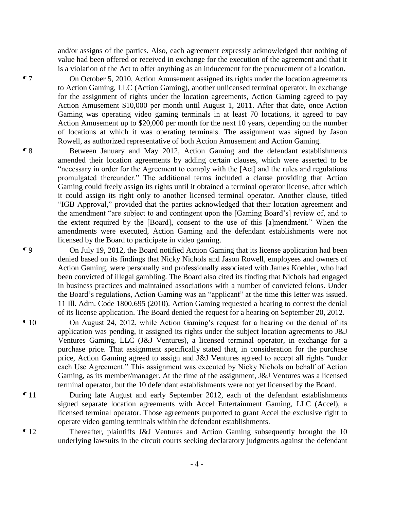and/or assigns of the parties. Also, each agreement expressly acknowledged that nothing of value had been offered or received in exchange for the execution of the agreement and that it is a violation of the Act to offer anything as an inducement for the procurement of a location.

¶ 7 On October 5, 2010, Action Amusement assigned its rights under the location agreements to Action Gaming, LLC (Action Gaming), another unlicensed terminal operator. In exchange for the assignment of rights under the location agreements, Action Gaming agreed to pay Action Amusement \$10,000 per month until August 1, 2011. After that date, once Action Gaming was operating video gaming terminals in at least 70 locations, it agreed to pay Action Amusement up to \$20,000 per month for the next 10 years, depending on the number of locations at which it was operating terminals. The assignment was signed by Jason Rowell, as authorized representative of both Action Amusement and Action Gaming.

¶ 8 Between January and May 2012, Action Gaming and the defendant establishments amended their location agreements by adding certain clauses, which were asserted to be "necessary in order for the Agreement to comply with the [Act] and the rules and regulations promulgated thereunder." The additional terms included a clause providing that Action Gaming could freely assign its rights until it obtained a terminal operator license, after which it could assign its right only to another licensed terminal operator. Another clause, titled "IGB Approval," provided that the parties acknowledged that their location agreement and the amendment "are subject to and contingent upon the [Gaming Board's] review of, and to the extent required by the [Board], consent to the use of this [a]mendment." When the amendments were executed, Action Gaming and the defendant establishments were not licensed by the Board to participate in video gaming.

¶ 9 On July 19, 2012, the Board notified Action Gaming that its license application had been denied based on its findings that Nicky Nichols and Jason Rowell, employees and owners of Action Gaming, were personally and professionally associated with James Koehler, who had been convicted of illegal gambling. The Board also cited its finding that Nichols had engaged in business practices and maintained associations with a number of convicted felons. Under the Board's regulations, Action Gaming was an "applicant" at the time this letter was issued. 11 Ill. Adm. Code 1800.695 (2010). Action Gaming requested a hearing to contest the denial of its license application. The Board denied the request for a hearing on September 20, 2012.

¶ 10 On August 24, 2012, while Action Gaming's request for a hearing on the denial of its application was pending, it assigned its rights under the subject location agreements to J&J Ventures Gaming, LLC (J&J Ventures), a licensed terminal operator, in exchange for a purchase price. That assignment specifically stated that, in consideration for the purchase price, Action Gaming agreed to assign and J&J Ventures agreed to accept all rights "under each Use Agreement." This assignment was executed by Nicky Nichols on behalf of Action Gaming, as its member/manager. At the time of the assignment, J&J Ventures was a licensed terminal operator, but the 10 defendant establishments were not yet licensed by the Board.

¶ 11 During late August and early September 2012, each of the defendant establishments signed separate location agreements with Accel Entertainment Gaming, LLC (Accel), a licensed terminal operator. Those agreements purported to grant Accel the exclusive right to operate video gaming terminals within the defendant establishments.

¶ 12 Thereafter, plaintiffs J&J Ventures and Action Gaming subsequently brought the 10 underlying lawsuits in the circuit courts seeking declaratory judgments against the defendant

- 4 -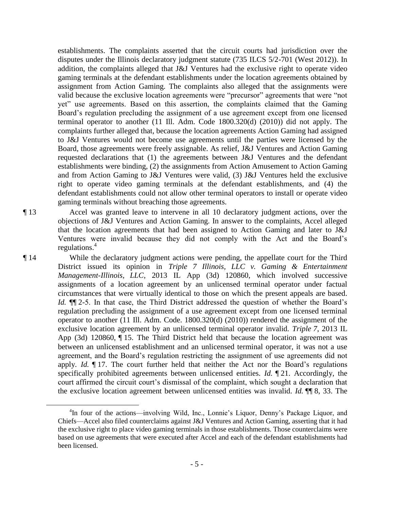establishments. The complaints asserted that the circuit courts had jurisdiction over the disputes under the Illinois declaratory judgment statute (735 ILCS 5/2-701 (West 2012)). In addition, the complaints alleged that J&J Ventures had the exclusive right to operate video gaming terminals at the defendant establishments under the location agreements obtained by assignment from Action Gaming. The complaints also alleged that the assignments were valid because the exclusive location agreements were "precursor" agreements that were "not yet" use agreements. Based on this assertion, the complaints claimed that the Gaming Board's regulation precluding the assignment of a use agreement except from one licensed terminal operator to another (11 Ill. Adm. Code 1800.320(d) (2010)) did not apply. The complaints further alleged that, because the location agreements Action Gaming had assigned to J&J Ventures would not become use agreements until the parties were licensed by the Board, those agreements were freely assignable. As relief, J&J Ventures and Action Gaming requested declarations that (1) the agreements between J&J Ventures and the defendant establishments were binding, (2) the assignments from Action Amusement to Action Gaming and from Action Gaming to J&J Ventures were valid, (3) J&J Ventures held the exclusive right to operate video gaming terminals at the defendant establishments, and (4) the defendant establishments could not allow other terminal operators to install or operate video gaming terminals without breaching those agreements.

 $\overline{a}$ 

¶ 13 Accel was granted leave to intervene in all 10 declaratory judgment actions, over the objections of J&J Ventures and Action Gaming. In answer to the complaints, Accel alleged that the location agreements that had been assigned to Action Gaming and later to J&J Ventures were invalid because they did not comply with the Act and the Board's regulations. $4$ 

¶ 14 While the declaratory judgment actions were pending, the appellate court for the Third District issued its opinion in *Triple 7 Illinois, LLC v. Gaming & Entertainment Management-Illinois, LLC*, 2013 IL App (3d) 120860, which involved successive assignments of a location agreement by an unlicensed terminal operator under factual circumstances that were virtually identical to those on which the present appeals are based. *Id.* ¶¶ 2-5. In that case, the Third District addressed the question of whether the Board's regulation precluding the assignment of a use agreement except from one licensed terminal operator to another (11 Ill. Adm. Code. 1800.320(d) (2010)) rendered the assignment of the exclusive location agreement by an unlicensed terminal operator invalid. *Triple 7*, 2013 IL App (3d) 120860, ¶ 15. The Third District held that because the location agreement was between an unlicensed establishment and an unlicensed terminal operator, it was not a use agreement, and the Board's regulation restricting the assignment of use agreements did not apply. *Id.* ¶ 17. The court further held that neither the Act nor the Board's regulations specifically prohibited agreements between unlicensed entities. *Id.* ¶ 21. Accordingly, the court affirmed the circuit court's dismissal of the complaint, which sought a declaration that the exclusive location agreement between unlicensed entities was invalid. *Id.* ¶¶ 8, 33. The

<sup>&</sup>lt;sup>4</sup>In four of the actions—involving Wild, Inc., Lonnie's Liquor, Denny's Package Liquor, and Chiefs—Accel also filed counterclaims against J&J Ventures and Action Gaming, asserting that it had the exclusive right to place video gaming terminals in those establishments. Those counterclaims were based on use agreements that were executed after Accel and each of the defendant establishments had been licensed.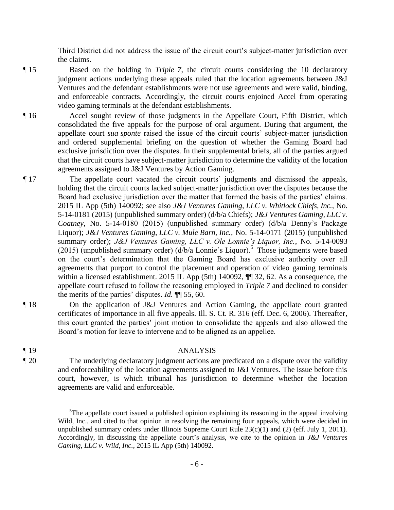Third District did not address the issue of the circuit court's subject-matter jurisdiction over the claims.

- ¶ 15 Based on the holding in *Triple 7*, the circuit courts considering the 10 declaratory judgment actions underlying these appeals ruled that the location agreements between J&J Ventures and the defendant establishments were not use agreements and were valid, binding, and enforceable contracts. Accordingly, the circuit courts enjoined Accel from operating video gaming terminals at the defendant establishments.
- ¶ 16 Accel sought review of those judgments in the Appellate Court, Fifth District, which consolidated the five appeals for the purpose of oral argument. During that argument, the appellate court *sua sponte* raised the issue of the circuit courts' subject-matter jurisdiction and ordered supplemental briefing on the question of whether the Gaming Board had exclusive jurisdiction over the disputes. In their supplemental briefs, all of the parties argued that the circuit courts have subject-matter jurisdiction to determine the validity of the location agreements assigned to J&J Ventures by Action Gaming.
- ¶ 17 The appellate court vacated the circuit courts' judgments and dismissed the appeals, holding that the circuit courts lacked subject-matter jurisdiction over the disputes because the Board had exclusive jurisdiction over the matter that formed the basis of the parties' claims. 2015 IL App (5th) 140092; see also *J&J Ventures Gaming, LLC v. Whitlock Chiefs, Inc.*, No. 5-14-0181 (2015) (unpublished summary order) (d/b/a Chiefs); *J&J Ventures Gaming, LLC v. Coatney*, No. 5-14-0180 (2015) (unpublished summary order) (d/b/a Denny's Package Liquor); *J&J Ventures Gaming, LLC v. Mule Barn, Inc.*, No. 5-14-0171 (2015) (unpublished summary order); *J&J Ventures Gaming, LLC v. Ole Lonnie's Liquor, Inc.*, No. 5-14-0093 (2015) (unpublished summary order)  $(d/b/a \text{ Lonnie's Liquor})^5$  Those judgments were based on the court's determination that the Gaming Board has exclusive authority over all agreements that purport to control the placement and operation of video gaming terminals within a licensed establishment. 2015 IL App (5th) 140092,  $\P$  32, 62. As a consequence, the appellate court refused to follow the reasoning employed in *Triple 7* and declined to consider the merits of the parties' disputes. *Id.* ¶¶ 55, 60.
- ¶ 18 On the application of J&J Ventures and Action Gaming, the appellate court granted certificates of importance in all five appeals. Ill. S. Ct. R. 316 (eff. Dec. 6, 2006). Thereafter, this court granted the parties' joint motion to consolidate the appeals and also allowed the Board's motion for leave to intervene and to be aligned as an appellee.

 $\overline{a}$ 

## ¶ 19 ANALYSIS

¶ 20 The underlying declaratory judgment actions are predicated on a dispute over the validity and enforceability of the location agreements assigned to J&J Ventures. The issue before this court, however, is which tribunal has jurisdiction to determine whether the location agreements are valid and enforceable.

- 6 -

<sup>&</sup>lt;sup>5</sup>The appellate court issued a published opinion explaining its reasoning in the appeal involving Wild, Inc., and cited to that opinion in resolving the remaining four appeals, which were decided in unpublished summary orders under Illinois Supreme Court Rule  $23(c)(1)$  and (2) (eff. July 1, 2011). Accordingly, in discussing the appellate court's analysis, we cite to the opinion in *J&J Ventures Gaming, LLC v. Wild, Inc.*, 2015 IL App (5th) 140092.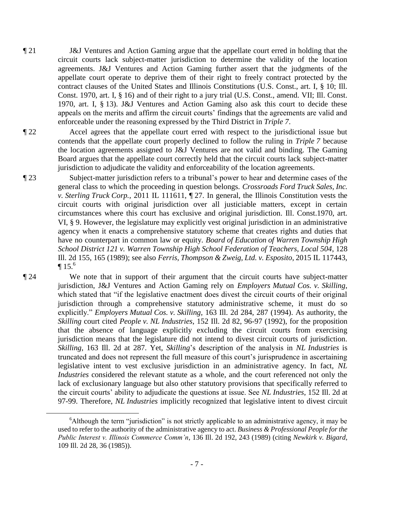¶ 21 J&J Ventures and Action Gaming argue that the appellate court erred in holding that the circuit courts lack subject-matter jurisdiction to determine the validity of the location agreements. J&J Ventures and Action Gaming further assert that the judgments of the appellate court operate to deprive them of their right to freely contract protected by the contract clauses of the United States and Illinois Constitutions (U.S. Const., art. I, § 10; Ill. Const. 1970, art. I, § 16) and of their right to a jury trial (U.S. Const., amend. VII; Ill. Const. 1970, art. I, § 13). J&J Ventures and Action Gaming also ask this court to decide these appeals on the merits and affirm the circuit courts' findings that the agreements are valid and enforceable under the reasoning expressed by the Third District in *Triple 7*.

¶ 22 Accel agrees that the appellate court erred with respect to the jurisdictional issue but contends that the appellate court properly declined to follow the ruling in *Triple 7* because the location agreements assigned to J&J Ventures are not valid and binding. The Gaming Board argues that the appellate court correctly held that the circuit courts lack subject-matter jurisdiction to adjudicate the validity and enforceability of the location agreements.

¶ 23 Subject-matter jurisdiction refers to a tribunal's power to hear and determine cases of the general class to which the proceeding in question belongs. *Crossroads Ford Truck Sales, Inc. v. Sterling Truck Corp.*, 2011 IL 111611, ¶ 27. In general, the Illinois Constitution vests the circuit courts with original jurisdiction over all justiciable matters, except in certain circumstances where this court has exclusive and original jurisdiction. Ill. Const.1970, art. VI, § 9. However, the legislature may explicitly vest original jurisdiction in an administrative agency when it enacts a comprehensive statutory scheme that creates rights and duties that have no counterpart in common law or equity. *Board of Education of Warren Township High School District 121 v. Warren Township High School Federation of Teachers, Local 504*, 128 Ill. 2d 155, 165 (1989); see also *Ferris, Thompson & Zweig, Ltd. v. Esposito*, 2015 IL 117443,  $\P 15<sup>6</sup>$ 

¶ 24 We note that in support of their argument that the circuit courts have subject-matter jurisdiction, J&J Ventures and Action Gaming rely on *Employers Mutual Cos. v. Skilling*, which stated that "if the legislative enactment does divest the circuit courts of their original jurisdiction through a comprehensive statutory administrative scheme, it must do so explicitly." *Employers Mutual Cos. v. Skilling*, 163 Ill. 2d 284, 287 (1994). As authority, the *Skilling* court cited *People v. NL Industries*, 152 Ill. 2d 82, 96-97 (1992), for the proposition that the absence of language explicitly excluding the circuit courts from exercising jurisdiction means that the legislature did not intend to divest circuit courts of jurisdiction. *Skilling*, 163 Ill. 2d at 287. Yet, *Skilling*'s description of the analysis in *NL Industries* is truncated and does not represent the full measure of this court's jurisprudence in ascertaining legislative intent to vest exclusive jurisdiction in an administrative agency. In fact, *NL Industries* considered the relevant statute as a whole, and the court referenced not only the lack of exclusionary language but also other statutory provisions that specifically referred to the circuit courts' ability to adjudicate the questions at issue. See *NL Industries*, 152 Ill. 2d at

97-99. Therefore, *NL Industries* implicitly recognized that legislative intent to divest circuit

 $\overline{a}$ 

<sup>&</sup>lt;sup>6</sup>Although the term "jurisdiction" is not strictly applicable to an administrative agency, it may be used to refer to the authority of the administrative agency to act. *Business & Professional People for the Public Interest v. Illinois Commerce Comm'n*, 136 Ill. 2d 192, 243 (1989) (citing *Newkirk v. Bigard*, 109 Ill. 2d 28, 36 (1985)).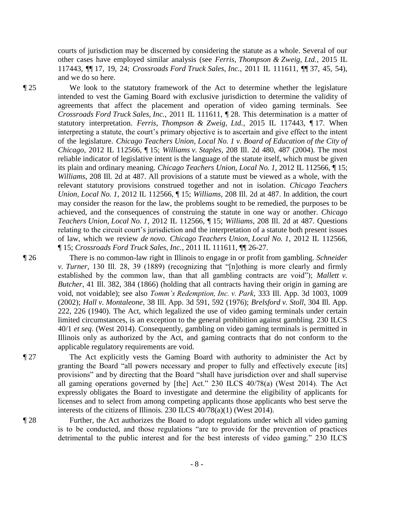courts of jurisdiction may be discerned by considering the statute as a whole. Several of our other cases have employed similar analysis (see *Ferris, Thompson & Zweig, Ltd.*, 2015 IL 117443, ¶¶ 17, 19, 24; *Crossroads Ford Truck Sales, Inc.*, 2011 IL 111611, ¶¶ 37, 45, 54), and we do so here.

¶ 25 We look to the statutory framework of the Act to determine whether the legislature intended to vest the Gaming Board with exclusive jurisdiction to determine the validity of agreements that affect the placement and operation of video gaming terminals. See *Crossroads Ford Truck Sales, Inc.*, 2011 IL 111611, ¶ 28. This determination is a matter of statutory interpretation. *Ferris, Thompson & Zweig, Ltd.*, 2015 IL 117443, ¶ 17. When interpreting a statute, the court's primary objective is to ascertain and give effect to the intent of the legislature. *Chicago Teachers Union, Local No. 1 v. Board of Education of the City of Chicago*, 2012 IL 112566, ¶ 15; *Williams v. Staples*, 208 Ill. 2d 480, 487 (2004). The most reliable indicator of legislative intent is the language of the statute itself, which must be given its plain and ordinary meaning. *Chicago Teachers Union, Local No. 1*, 2012 IL 112566, ¶ 15; *Williams*, 208 Ill. 2d at 487. All provisions of a statute must be viewed as a whole, with the relevant statutory provisions construed together and not in isolation. *Chicago Teachers Union, Local No. 1*, 2012 IL 112566, ¶ 15; *Williams*, 208 Ill. 2d at 487. In addition, the court may consider the reason for the law, the problems sought to be remedied, the purposes to be achieved, and the consequences of construing the statute in one way or another. *Chicago Teachers Union, Local No. 1*, 2012 IL 112566, ¶ 15; *Williams*, 208 Ill. 2d at 487. Questions relating to the circuit court's jurisdiction and the interpretation of a statute both present issues of law, which we review *de novo. Chicago Teachers Union, Local No. 1*, 2012 IL 112566, ¶ 15; *Crossroads Ford Truck Sales, Inc.*, 2011 IL 111611, ¶¶ 26-27.

¶ 26 There is no common-law right in Illinois to engage in or profit from gambling. *Schneider v. Turner*, 130 Ill. 28, 39 (1889) (recognizing that "[n]othing is more clearly and firmly established by the common law, than that all gambling contracts are void"); *Mallett v. Butcher*, 41 Ill. 382, 384 (1866) (holding that all contracts having their origin in gaming are void, not voidable); see also *Tomm's Redemption, Inc. v. Park*, 333 Ill. App. 3d 1003, 1009 (2002); *Hall v. Montaleone*, 38 Ill. App. 3d 591, 592 (1976); *Brelsford v. Stoll*, 304 Ill. App. 222, 226 (1940). The Act, which legalized the use of video gaming terminals under certain limited circumstances, is an exception to the general prohibition against gambling. 230 ILCS 40/1 *et seq.* (West 2014). Consequently, gambling on video gaming terminals is permitted in Illinois only as authorized by the Act, and gaming contracts that do not conform to the applicable regulatory requirements are void.

¶ 27 The Act explicitly vests the Gaming Board with authority to administer the Act by granting the Board "all powers necessary and proper to fully and effectively execute [its] provisions" and by directing that the Board "shall have jurisdiction over and shall supervise all gaming operations governed by [the] Act." 230 ILCS 40/78(a) (West 2014). The Act expressly obligates the Board to investigate and determine the eligibility of applicants for licenses and to select from among competing applicants those applicants who best serve the interests of the citizens of Illinois. 230 ILCS 40/78(a)(1) (West 2014).

¶ 28 Further, the Act authorizes the Board to adopt regulations under which all video gaming is to be conducted, and those regulations "are to provide for the prevention of practices detrimental to the public interest and for the best interests of video gaming." 230 ILCS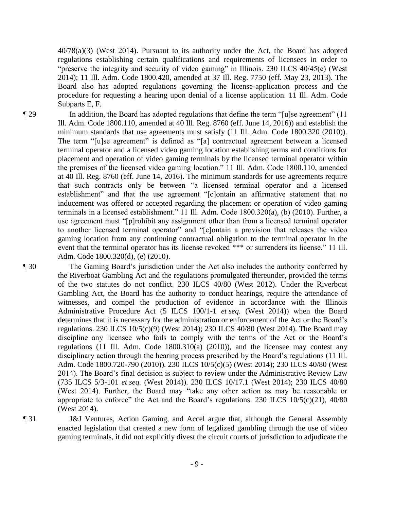40/78(a)(3) (West 2014). Pursuant to its authority under the Act, the Board has adopted regulations establishing certain qualifications and requirements of licensees in order to "preserve the integrity and security of video gaming" in Illinois. 230 ILCS 40/45(e) (West 2014); 11 Ill. Adm. Code 1800.420, amended at 37 Ill. Reg. 7750 (eff. May 23, 2013). The Board also has adopted regulations governing the license-application process and the procedure for requesting a hearing upon denial of a license application. 11 Ill. Adm. Code Subparts E, F.

¶ 29 In addition, the Board has adopted regulations that define the term "[u]se agreement" (11 Ill. Adm. Code 1800.110, amended at 40 Ill. Reg. 8760 (eff. June 14, 2016)) and establish the minimum standards that use agreements must satisfy (11 Ill. Adm. Code 1800.320 (2010)). The term "[u]se agreement" is defined as "[a] contractual agreement between a licensed terminal operator and a licensed video gaming location establishing terms and conditions for placement and operation of video gaming terminals by the licensed terminal operator within the premises of the licensed video gaming location." 11 Ill. Adm. Code 1800.110, amended at 40 Ill. Reg. 8760 (eff. June 14, 2016). The minimum standards for use agreements require that such contracts only be between "a licensed terminal operator and a licensed establishment" and that the use agreement "[c]ontain an affirmative statement that no inducement was offered or accepted regarding the placement or operation of video gaming terminals in a licensed establishment." 11 Ill. Adm. Code 1800.320(a), (b) (2010). Further, a use agreement must "[p]rohibit any assignment other than from a licensed terminal operator to another licensed terminal operator" and "[c]ontain a provision that releases the video gaming location from any continuing contractual obligation to the terminal operator in the event that the terminal operator has its license revoked \*\*\* or surrenders its license." 11 Ill. Adm. Code 1800.320(d), (e) (2010).

¶ 30 The Gaming Board's jurisdiction under the Act also includes the authority conferred by the Riverboat Gambling Act and the regulations promulgated thereunder, provided the terms of the two statutes do not conflict. 230 ILCS 40/80 (West 2012). Under the Riverboat Gambling Act, the Board has the authority to conduct hearings, require the attendance of witnesses, and compel the production of evidence in accordance with the Illinois Administrative Procedure Act (5 ILCS 100/1-1 *et seq.* (West 2014)) when the Board determines that it is necessary for the administration or enforcement of the Act or the Board's regulations. 230 ILCS 10/5(c)(9) (West 2014); 230 ILCS 40/80 (West 2014). The Board may discipline any licensee who fails to comply with the terms of the Act or the Board's regulations (11 Ill. Adm. Code 1800.310(a) (2010)), and the licensee may contest any disciplinary action through the hearing process prescribed by the Board's regulations (11 Ill. Adm. Code 1800.720-790 (2010)). 230 ILCS 10/5(c)(5) (West 2014); 230 ILCS 40/80 (West 2014). The Board's final decision is subject to review under the Administrative Review Law (735 ILCS 5/3-101 *et seq.* (West 2014)). 230 ILCS 10/17.1 (West 2014); 230 ILCS 40/80 (West 2014). Further, the Board may "take any other action as may be reasonable or appropriate to enforce" the Act and the Board's regulations. 230 ILCS  $10/5(c)(21)$ ,  $40/80$ (West 2014).

¶ 31 J&J Ventures, Action Gaming, and Accel argue that, although the General Assembly enacted legislation that created a new form of legalized gambling through the use of video gaming terminals, it did not explicitly divest the circuit courts of jurisdiction to adjudicate the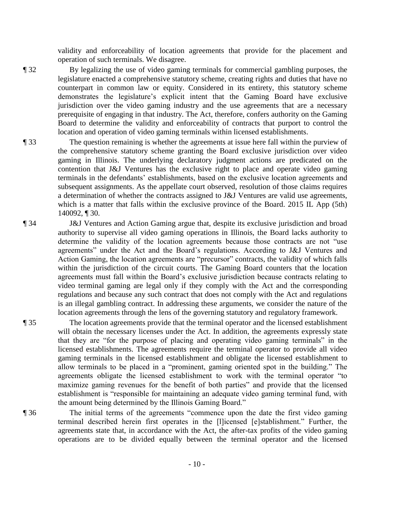validity and enforceability of location agreements that provide for the placement and operation of such terminals. We disagree.

¶ 32 By legalizing the use of video gaming terminals for commercial gambling purposes, the legislature enacted a comprehensive statutory scheme, creating rights and duties that have no counterpart in common law or equity. Considered in its entirety, this statutory scheme demonstrates the legislature's explicit intent that the Gaming Board have exclusive jurisdiction over the video gaming industry and the use agreements that are a necessary prerequisite of engaging in that industry. The Act, therefore, confers authority on the Gaming Board to determine the validity and enforceability of contracts that purport to control the location and operation of video gaming terminals within licensed establishments.

¶ 33 The question remaining is whether the agreements at issue here fall within the purview of the comprehensive statutory scheme granting the Board exclusive jurisdiction over video gaming in Illinois. The underlying declaratory judgment actions are predicated on the contention that J&J Ventures has the exclusive right to place and operate video gaming terminals in the defendants' establishments, based on the exclusive location agreements and subsequent assignments. As the appellate court observed, resolution of those claims requires a determination of whether the contracts assigned to J&J Ventures are valid use agreements, which is a matter that falls within the exclusive province of the Board. 2015 IL App (5th) 140092, ¶ 30.

¶ 34 J&J Ventures and Action Gaming argue that, despite its exclusive jurisdiction and broad authority to supervise all video gaming operations in Illinois, the Board lacks authority to determine the validity of the location agreements because those contracts are not "use agreements" under the Act and the Board's regulations. According to J&J Ventures and Action Gaming, the location agreements are "precursor" contracts, the validity of which falls within the jurisdiction of the circuit courts. The Gaming Board counters that the location agreements must fall within the Board's exclusive jurisdiction because contracts relating to video terminal gaming are legal only if they comply with the Act and the corresponding regulations and because any such contract that does not comply with the Act and regulations is an illegal gambling contract. In addressing these arguments, we consider the nature of the location agreements through the lens of the governing statutory and regulatory framework.

¶ 35 The location agreements provide that the terminal operator and the licensed establishment will obtain the necessary licenses under the Act. In addition, the agreements expressly state that they are "for the purpose of placing and operating video gaming terminals" in the licensed establishments. The agreements require the terminal operator to provide all video gaming terminals in the licensed establishment and obligate the licensed establishment to allow terminals to be placed in a "prominent, gaming oriented spot in the building." The agreements obligate the licensed establishment to work with the terminal operator "to maximize gaming revenues for the benefit of both parties" and provide that the licensed establishment is "responsible for maintaining an adequate video gaming terminal fund, with the amount being determined by the Illinois Gaming Board."

¶ 36 The initial terms of the agreements "commence upon the date the first video gaming terminal described herein first operates in the [l]icensed [e]stablishment." Further, the agreements state that, in accordance with the Act, the after-tax profits of the video gaming operations are to be divided equally between the terminal operator and the licensed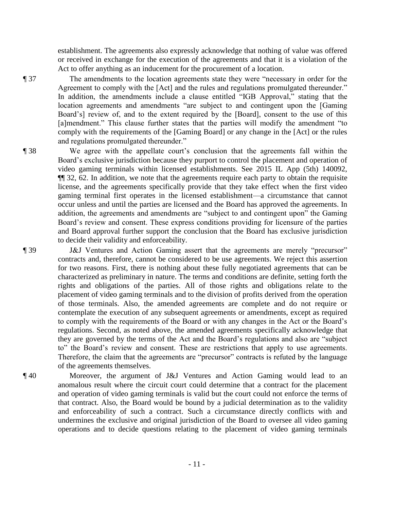establishment. The agreements also expressly acknowledge that nothing of value was offered or received in exchange for the execution of the agreements and that it is a violation of the Act to offer anything as an inducement for the procurement of a location.

¶ 37 The amendments to the location agreements state they were "necessary in order for the Agreement to comply with the [Act] and the rules and regulations promulgated thereunder." In addition, the amendments include a clause entitled "IGB Approval," stating that the location agreements and amendments "are subject to and contingent upon the [Gaming Board's] review of, and to the extent required by the [Board], consent to the use of this [a]mendment." This clause further states that the parties will modify the amendment "to comply with the requirements of the [Gaming Board] or any change in the [Act] or the rules and regulations promulgated thereunder."

¶ 38 We agree with the appellate court's conclusion that the agreements fall within the Board's exclusive jurisdiction because they purport to control the placement and operation of video gaming terminals within licensed establishments. See 2015 IL App (5th) 140092, ¶¶ 32, 62. In addition, we note that the agreements require each party to obtain the requisite license, and the agreements specifically provide that they take effect when the first video gaming terminal first operates in the licensed establishment—a circumstance that cannot occur unless and until the parties are licensed and the Board has approved the agreements. In addition, the agreements and amendments are "subject to and contingent upon" the Gaming Board's review and consent. These express conditions providing for licensure of the parties and Board approval further support the conclusion that the Board has exclusive jurisdiction to decide their validity and enforceability.

¶ 39 J&J Ventures and Action Gaming assert that the agreements are merely "precursor" contracts and, therefore, cannot be considered to be use agreements. We reject this assertion for two reasons. First, there is nothing about these fully negotiated agreements that can be characterized as preliminary in nature. The terms and conditions are definite, setting forth the rights and obligations of the parties. All of those rights and obligations relate to the placement of video gaming terminals and to the division of profits derived from the operation of those terminals. Also, the amended agreements are complete and do not require or contemplate the execution of any subsequent agreements or amendments, except as required to comply with the requirements of the Board or with any changes in the Act or the Board's regulations. Second, as noted above, the amended agreements specifically acknowledge that they are governed by the terms of the Act and the Board's regulations and also are "subject to" the Board's review and consent. These are restrictions that apply to use agreements. Therefore, the claim that the agreements are "precursor" contracts is refuted by the language of the agreements themselves.

¶ 40 Moreover, the argument of J&J Ventures and Action Gaming would lead to an anomalous result where the circuit court could determine that a contract for the placement and operation of video gaming terminals is valid but the court could not enforce the terms of that contract. Also, the Board would be bound by a judicial determination as to the validity and enforceability of such a contract. Such a circumstance directly conflicts with and undermines the exclusive and original jurisdiction of the Board to oversee all video gaming operations and to decide questions relating to the placement of video gaming terminals

- 11 -